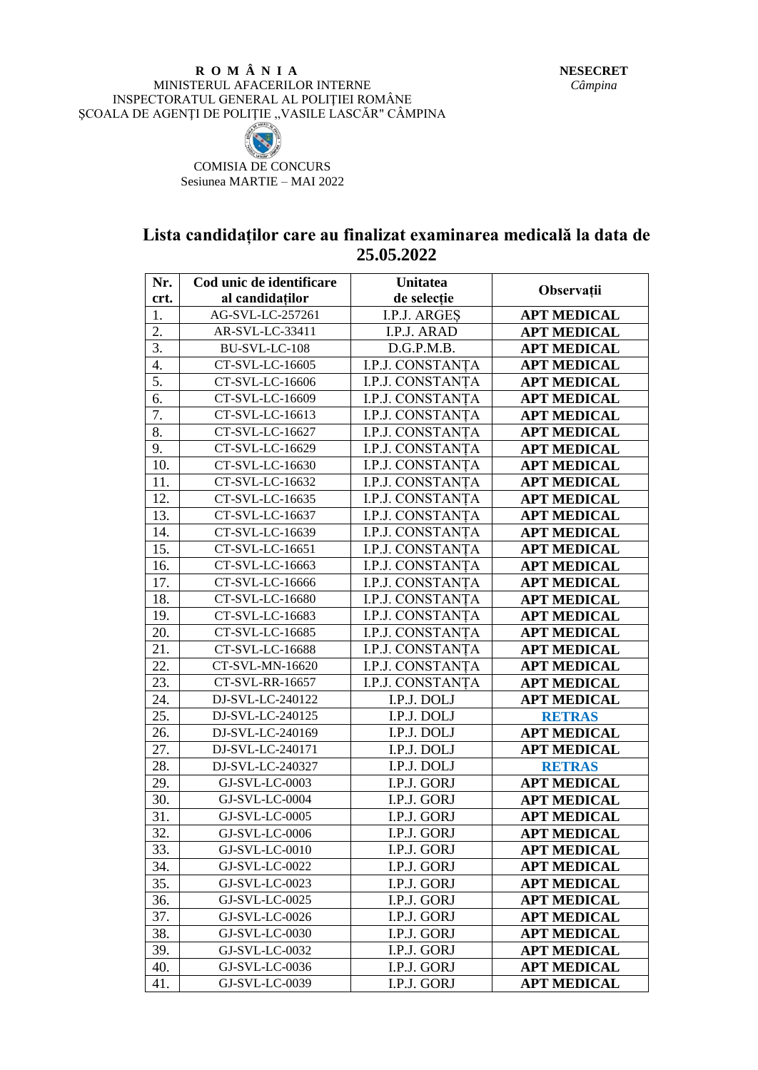## **R O M Â N I A** MINISTERUL AFACERILOR INTERNE INSPECTORATUL GENERAL AL POLIŢIEI ROMÂNE SCOALA DE AGENȚI DE POLITIE, VASILE LASCĂR" CÂMPINA



COMISIA DE CONCURS Sesiunea MARTIE – MAI 2022

## **Lista candidaților care au finalizat examinarea medicală la data de 25.05.2022**

| Nr.              | Cod unic de identificare | <b>Unitatea</b>  |                    |
|------------------|--------------------------|------------------|--------------------|
| crt.             | al candidatilor          | de selectie      | Observații         |
| 1.               | AG-SVL-LC-257261         | I.P.J. ARGES     | <b>APT MEDICAL</b> |
| $\overline{2}$ . | AR-SVL-LC-33411          | I.P.J. ARAD      | <b>APT MEDICAL</b> |
| 3.               | BU-SVL-LC-108            | D.G.P.M.B.       | <b>APT MEDICAL</b> |
| 4.               | CT-SVL-LC-16605          | I.P.J. CONSTANȚA | <b>APT MEDICAL</b> |
| 5.               | CT-SVL-LC-16606          | I.P.J. CONSTANTA | <b>APT MEDICAL</b> |
| 6.               | CT-SVL-LC-16609          | I.P.J. CONSTANTA | <b>APT MEDICAL</b> |
| 7.               | CT-SVL-LC-16613          | I.P.J. CONSTANTA | <b>APT MEDICAL</b> |
| 8.               | CT-SVL-LC-16627          | I.P.J. CONSTANTA | <b>APT MEDICAL</b> |
| 9.               | CT-SVL-LC-16629          | I.P.J. CONSTANTA | <b>APT MEDICAL</b> |
| 10.              | CT-SVL-LC-16630          | I.P.J. CONSTANȚA | <b>APT MEDICAL</b> |
| 11.              | CT-SVL-LC-16632          | I.P.J. CONSTANȚA | <b>APT MEDICAL</b> |
| 12.              | CT-SVL-LC-16635          | I.P.J. CONSTANȚA | <b>APT MEDICAL</b> |
| 13.              | CT-SVL-LC-16637          | I.P.J. CONSTANTA | <b>APT MEDICAL</b> |
| 14.              | CT-SVL-LC-16639          | I.P.J. CONSTANTA | <b>APT MEDICAL</b> |
| 15.              | CT-SVL-LC-16651          | I.P.J. CONSTANTA | <b>APT MEDICAL</b> |
| 16.              | CT-SVL-LC-16663          | I.P.J. CONSTANTA | <b>APT MEDICAL</b> |
| 17.              | CT-SVL-LC-16666          | I.P.J. CONSTANȚA | <b>APT MEDICAL</b> |
| 18.              | CT-SVL-LC-16680          | I.P.J. CONSTANTA | <b>APT MEDICAL</b> |
| 19.              | CT-SVL-LC-16683          | I.P.J. CONSTANTA | <b>APT MEDICAL</b> |
| 20.              | CT-SVL-LC-16685          | I.P.J. CONSTANȚA | <b>APT MEDICAL</b> |
| 21.              | CT-SVL-LC-16688          | I.P.J. CONSTANȚA | <b>APT MEDICAL</b> |
| 22.              | CT-SVL-MN-16620          | I.P.J. CONSTANȚA | <b>APT MEDICAL</b> |
| 23.              | CT-SVL-RR-16657          | I.P.J. CONSTANȚA | <b>APT MEDICAL</b> |
| 24.              | DJ-SVL-LC-240122         | I.P.J. DOLJ      | <b>APT MEDICAL</b> |
| 25.              | DJ-SVL-LC-240125         | I.P.J. DOLJ      | <b>RETRAS</b>      |
| 26.              | DJ-SVL-LC-240169         | I.P.J. DOLJ      | <b>APT MEDICAL</b> |
| 27.              | DJ-SVL-LC-240171         | I.P.J. DOLJ      | <b>APT MEDICAL</b> |
| 28.              | DJ-SVL-LC-240327         | I.P.J. DOLJ      | <b>RETRAS</b>      |
| 29.              | GJ-SVL-LC-0003           | I.P.J. GORJ      | <b>APT MEDICAL</b> |
| 30.              | GJ-SVL-LC-0004           | I.P.J. GORJ      | <b>APT MEDICAL</b> |
| 31.              | GJ-SVL-LC-0005           | I.P.J. GORJ      | <b>APT MEDICAL</b> |
| 32.              | GJ-SVL-LC-0006           | I.P.J. GORJ      | <b>APT MEDICAL</b> |
| 33.              | GJ-SVL-LC-0010           | I.P.J. GORJ      | <b>APT MEDICAL</b> |
| 34.              | GJ-SVL-LC-0022           | I.P.J. GORJ      | <b>APT MEDICAL</b> |
| 35.              | GJ-SVL-LC-0023           | I.P.J. GORJ      | <b>APT MEDICAL</b> |
| 36.              | GJ-SVL-LC-0025           | I.P.J. GORJ      | <b>APT MEDICAL</b> |
| 37.              | GJ-SVL-LC-0026           | I.P.J. GORJ      | <b>APT MEDICAL</b> |
| 38.              | GJ-SVL-LC-0030           | I.P.J. GORJ      | <b>APT MEDICAL</b> |
| 39.              | GJ-SVL-LC-0032           | I.P.J. GORJ      | <b>APT MEDICAL</b> |
| 40.              | GJ-SVL-LC-0036           | I.P.J. GORJ      | <b>APT MEDICAL</b> |
| 41.              | GJ-SVL-LC-0039           | I.P.J. GORJ      | <b>APT MEDICAL</b> |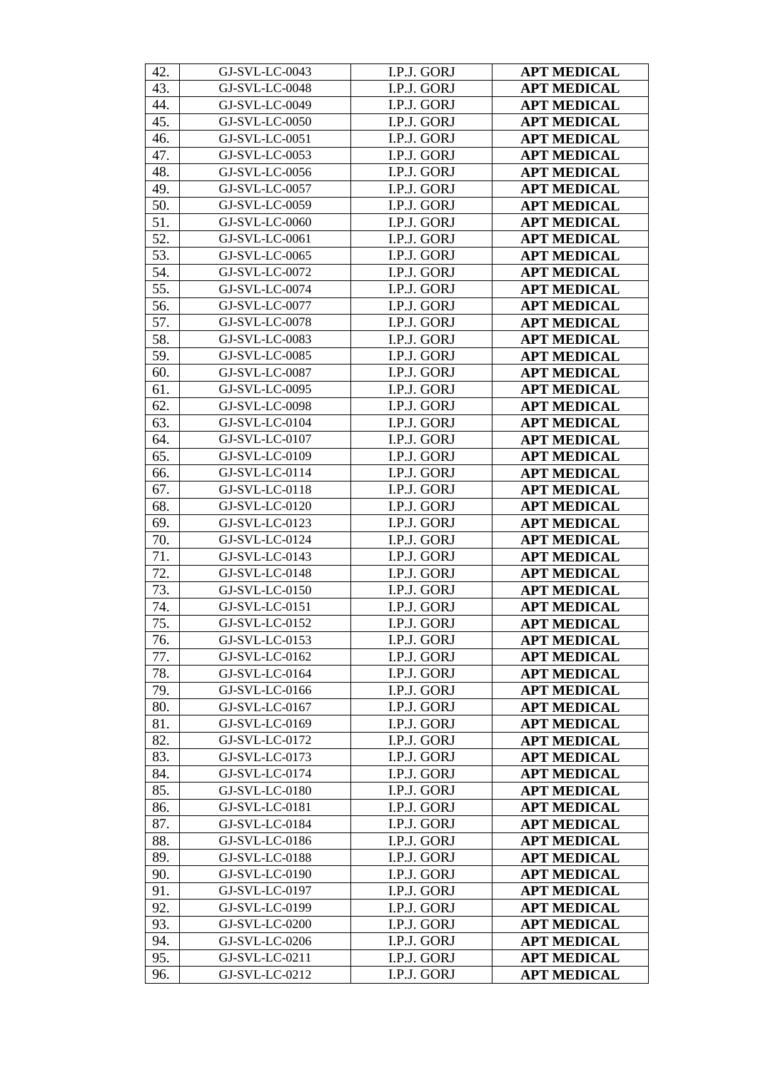| 42. | GJ-SVL-LC-0043 | I.P.J. GORJ | <b>APT MEDICAL</b> |
|-----|----------------|-------------|--------------------|
| 43. | GJ-SVL-LC-0048 | I.P.J. GORJ | <b>APT MEDICAL</b> |
| 44. | GJ-SVL-LC-0049 | I.P.J. GORJ | <b>APT MEDICAL</b> |
| 45. | GJ-SVL-LC-0050 | I.P.J. GORJ | <b>APT MEDICAL</b> |
| 46. | GJ-SVL-LC-0051 | I.P.J. GORJ | <b>APT MEDICAL</b> |
| 47. | GJ-SVL-LC-0053 | I.P.J. GORJ | <b>APT MEDICAL</b> |
| 48. | GJ-SVL-LC-0056 | I.P.J. GORJ | <b>APT MEDICAL</b> |
| 49. | GJ-SVL-LC-0057 | I.P.J. GORJ | <b>APT MEDICAL</b> |
| 50. | GJ-SVL-LC-0059 | I.P.J. GORJ | <b>APT MEDICAL</b> |
| 51. | GJ-SVL-LC-0060 | I.P.J. GORJ | <b>APT MEDICAL</b> |
| 52. | GJ-SVL-LC-0061 | I.P.J. GORJ | <b>APT MEDICAL</b> |
| 53. | GJ-SVL-LC-0065 | I.P.J. GORJ | <b>APT MEDICAL</b> |
| 54. | GJ-SVL-LC-0072 | I.P.J. GORJ | <b>APT MEDICAL</b> |
| 55. | GJ-SVL-LC-0074 | I.P.J. GORJ | <b>APT MEDICAL</b> |
| 56. | GJ-SVL-LC-0077 | I.P.J. GORJ | <b>APT MEDICAL</b> |
| 57. | GJ-SVL-LC-0078 | I.P.J. GORJ | <b>APT MEDICAL</b> |
| 58. | GJ-SVL-LC-0083 | I.P.J. GORJ | <b>APT MEDICAL</b> |
| 59. | GJ-SVL-LC-0085 | I.P.J. GORJ | <b>APT MEDICAL</b> |
| 60. | GJ-SVL-LC-0087 | I.P.J. GORJ | <b>APT MEDICAL</b> |
| 61. | GJ-SVL-LC-0095 | I.P.J. GORJ | <b>APT MEDICAL</b> |
| 62. | GJ-SVL-LC-0098 | I.P.J. GORJ | <b>APT MEDICAL</b> |
| 63. | GJ-SVL-LC-0104 | I.P.J. GORJ | <b>APT MEDICAL</b> |
| 64. | GJ-SVL-LC-0107 | I.P.J. GORJ | <b>APT MEDICAL</b> |
| 65. | GJ-SVL-LC-0109 | I.P.J. GORJ | <b>APT MEDICAL</b> |
| 66. | GJ-SVL-LC-0114 | I.P.J. GORJ | <b>APT MEDICAL</b> |
| 67. | GJ-SVL-LC-0118 | I.P.J. GORJ | <b>APT MEDICAL</b> |
| 68. | GJ-SVL-LC-0120 | I.P.J. GORJ | <b>APT MEDICAL</b> |
| 69. | GJ-SVL-LC-0123 | I.P.J. GORJ | <b>APT MEDICAL</b> |
| 70. | GJ-SVL-LC-0124 | I.P.J. GORJ | <b>APT MEDICAL</b> |
| 71. | GJ-SVL-LC-0143 | I.P.J. GORJ | <b>APT MEDICAL</b> |
| 72. | GJ-SVL-LC-0148 | I.P.J. GORJ | <b>APT MEDICAL</b> |
| 73. | GJ-SVL-LC-0150 | I.P.J. GORJ | <b>APT MEDICAL</b> |
| 74. | GJ-SVL-LC-0151 | I.P.J. GORJ | <b>APT MEDICAL</b> |
| 75. | GJ-SVL-LC-0152 | I.P.J. GORJ | <b>APT MEDICAL</b> |
| 76. | GJ-SVL-LC-0153 | I.P.J. GORJ | <b>APT MEDICAL</b> |
| 77. | GJ-SVL-LC-0162 | I.P.J. GORJ | <b>APT MEDICAL</b> |
| 78. | GJ-SVL-LC-0164 | I.P.J. GORJ | <b>APT MEDICAL</b> |
| 79. | GJ-SVL-LC-0166 | I.P.J. GORJ | <b>APT MEDICAL</b> |
| 80. | GJ-SVL-LC-0167 | I.P.J. GORJ | <b>APT MEDICAL</b> |
| 81. | GJ-SVL-LC-0169 | I.P.J. GORJ | <b>APT MEDICAL</b> |
| 82. | GJ-SVL-LC-0172 | I.P.J. GORJ | <b>APT MEDICAL</b> |
| 83. | GJ-SVL-LC-0173 | I.P.J. GORJ | <b>APT MEDICAL</b> |
| 84. | GJ-SVL-LC-0174 | I.P.J. GORJ | <b>APT MEDICAL</b> |
| 85. | GJ-SVL-LC-0180 | I.P.J. GORJ | <b>APT MEDICAL</b> |
| 86. | GJ-SVL-LC-0181 | I.P.J. GORJ | <b>APT MEDICAL</b> |
| 87. | GJ-SVL-LC-0184 | I.P.J. GORJ | <b>APT MEDICAL</b> |
| 88. | GJ-SVL-LC-0186 | I.P.J. GORJ | <b>APT MEDICAL</b> |
| 89. | GJ-SVL-LC-0188 | I.P.J. GORJ | <b>APT MEDICAL</b> |
| 90. | GJ-SVL-LC-0190 | I.P.J. GORJ | <b>APT MEDICAL</b> |
| 91. | GJ-SVL-LC-0197 | I.P.J. GORJ | <b>APT MEDICAL</b> |
| 92. | GJ-SVL-LC-0199 | I.P.J. GORJ | <b>APT MEDICAL</b> |
| 93. | GJ-SVL-LC-0200 | I.P.J. GORJ | <b>APT MEDICAL</b> |
| 94. | GJ-SVL-LC-0206 | I.P.J. GORJ | <b>APT MEDICAL</b> |
| 95. | GJ-SVL-LC-0211 | I.P.J. GORJ | <b>APT MEDICAL</b> |
| 96. | GJ-SVL-LC-0212 | I.P.J. GORJ | <b>APT MEDICAL</b> |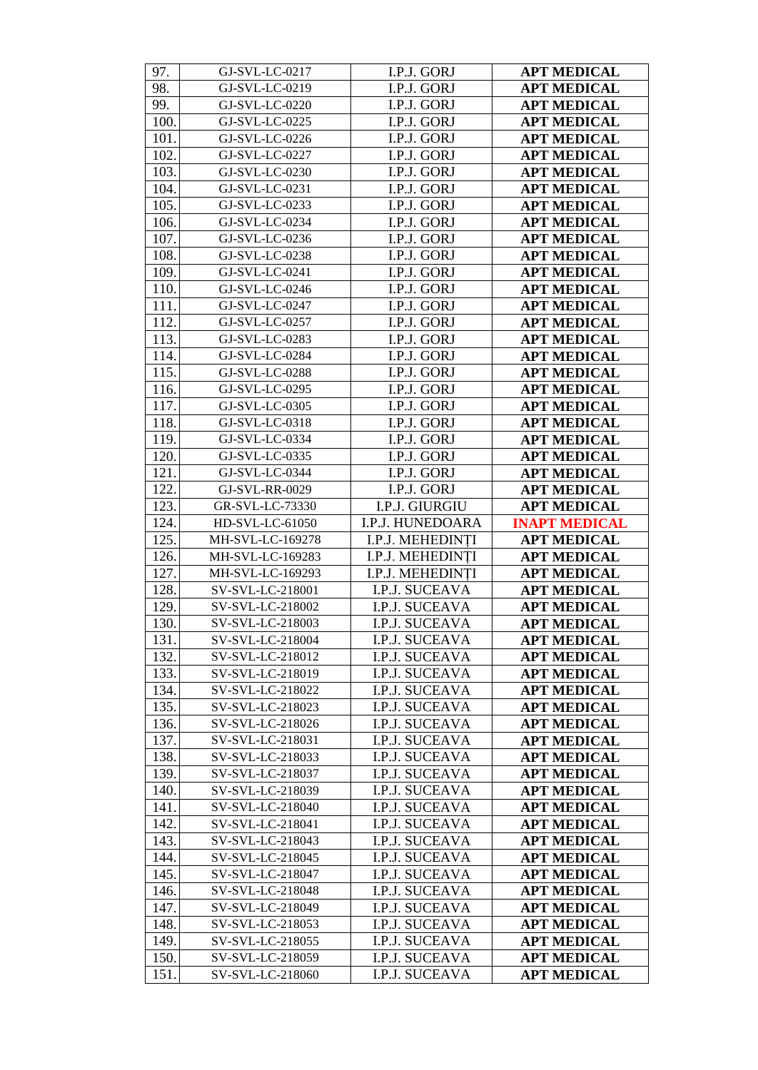| 97.  | GJ-SVL-LC-0217   | I.P.J. GORJ      | <b>APT MEDICAL</b>   |
|------|------------------|------------------|----------------------|
| 98.  | GJ-SVL-LC-0219   | I.P.J. GORJ      | <b>APT MEDICAL</b>   |
| 99.  | GJ-SVL-LC-0220   | I.P.J. GORJ      | <b>APT MEDICAL</b>   |
| 100. | GJ-SVL-LC-0225   | I.P.J. GORJ      | <b>APT MEDICAL</b>   |
| 101. | GJ-SVL-LC-0226   | I.P.J. GORJ      | <b>APT MEDICAL</b>   |
| 102. | GJ-SVL-LC-0227   | I.P.J. GORJ      | <b>APT MEDICAL</b>   |
| 103. | GJ-SVL-LC-0230   | I.P.J. GORJ      | <b>APT MEDICAL</b>   |
| 104. | GJ-SVL-LC-0231   | I.P.J. GORJ      | <b>APT MEDICAL</b>   |
| 105. | GJ-SVL-LC-0233   | I.P.J. GORJ      | <b>APT MEDICAL</b>   |
| 106. | GJ-SVL-LC-0234   | I.P.J. GORJ      | <b>APT MEDICAL</b>   |
| 107. | GJ-SVL-LC-0236   | I.P.J. GORJ      | <b>APT MEDICAL</b>   |
| 108. | GJ-SVL-LC-0238   | I.P.J. GORJ      | <b>APT MEDICAL</b>   |
| 109. | GJ-SVL-LC-0241   | I.P.J. GORJ      | <b>APT MEDICAL</b>   |
| 110. | GJ-SVL-LC-0246   | I.P.J. GORJ      | <b>APT MEDICAL</b>   |
| 111. | GJ-SVL-LC-0247   | I.P.J. GORJ      | <b>APT MEDICAL</b>   |
| 112. | GJ-SVL-LC-0257   | I.P.J. GORJ      | <b>APT MEDICAL</b>   |
| 113. | GJ-SVL-LC-0283   | I.P.J. GORJ      | <b>APT MEDICAL</b>   |
| 114. | GJ-SVL-LC-0284   | I.P.J. GORJ      | <b>APT MEDICAL</b>   |
| 115. | GJ-SVL-LC-0288   | I.P.J. GORJ      | <b>APT MEDICAL</b>   |
| 116. | GJ-SVL-LC-0295   | I.P.J. GORJ      | <b>APT MEDICAL</b>   |
| 117. | GJ-SVL-LC-0305   | I.P.J. GORJ      | <b>APT MEDICAL</b>   |
| 118. | GJ-SVL-LC-0318   | I.P.J. GORJ      | <b>APT MEDICAL</b>   |
| 119. | GJ-SVL-LC-0334   | I.P.J. GORJ      | <b>APT MEDICAL</b>   |
| 120. | GJ-SVL-LC-0335   | I.P.J. GORJ      | <b>APT MEDICAL</b>   |
| 121. | GJ-SVL-LC-0344   | I.P.J. GORJ      | <b>APT MEDICAL</b>   |
| 122. | GJ-SVL-RR-0029   | I.P.J. GORJ      | <b>APT MEDICAL</b>   |
| 123. | GR-SVL-LC-73330  | I.P.J. GIURGIU   | <b>APT MEDICAL</b>   |
| 124. | HD-SVL-LC-61050  | I.P.J. HUNEDOARA | <b>INAPT MEDICAL</b> |
| 125. | MH-SVL-LC-169278 | I.P.J. MEHEDINTI | <b>APT MEDICAL</b>   |
| 126. | MH-SVL-LC-169283 | I.P.J. MEHEDINTI | <b>APT MEDICAL</b>   |
| 127. | MH-SVL-LC-169293 | I.P.J. MEHEDINTI | <b>APT MEDICAL</b>   |
| 128. | SV-SVL-LC-218001 | I.P.J. SUCEAVA   | <b>APT MEDICAL</b>   |
| 129. | SV-SVL-LC-218002 | I.P.J. SUCEAVA   | <b>APT MEDICAL</b>   |
| 130. | SV-SVL-LC-218003 | I.P.J. SUCEAVA   | <b>APT MEDICAL</b>   |
| 131. | SV-SVL-LC-218004 | I.P.J. SUCEAVA   | <b>APT MEDICAL</b>   |
| 132. | SV-SVL-LC-218012 | I.P.J. SUCEAVA   | <b>APT MEDICAL</b>   |
| 133. | SV-SVL-LC-218019 | I.P.J. SUCEAVA   | <b>APT MEDICAL</b>   |
| 134. | SV-SVL-LC-218022 | I.P.J. SUCEAVA   | <b>APT MEDICAL</b>   |
| 135. | SV-SVL-LC-218023 | I.P.J. SUCEAVA   | <b>APT MEDICAL</b>   |
| 136. | SV-SVL-LC-218026 | I.P.J. SUCEAVA   | <b>APT MEDICAL</b>   |
| 137. |                  | I.P.J. SUCEAVA   |                      |
| 138. | SV-SVL-LC-218031 |                  | <b>APT MEDICAL</b>   |
|      | SV-SVL-LC-218033 | I.P.J. SUCEAVA   | <b>APT MEDICAL</b>   |
| 139. | SV-SVL-LC-218037 | I.P.J. SUCEAVA   | <b>APT MEDICAL</b>   |
| 140. | SV-SVL-LC-218039 | I.P.J. SUCEAVA   | <b>APT MEDICAL</b>   |
| 141. | SV-SVL-LC-218040 | I.P.J. SUCEAVA   | <b>APT MEDICAL</b>   |
| 142. | SV-SVL-LC-218041 | I.P.J. SUCEAVA   | <b>APT MEDICAL</b>   |
| 143. | SV-SVL-LC-218043 | I.P.J. SUCEAVA   | <b>APT MEDICAL</b>   |
| 144. | SV-SVL-LC-218045 | I.P.J. SUCEAVA   | <b>APT MEDICAL</b>   |
| 145. | SV-SVL-LC-218047 | I.P.J. SUCEAVA   | <b>APT MEDICAL</b>   |
| 146. | SV-SVL-LC-218048 | I.P.J. SUCEAVA   | <b>APT MEDICAL</b>   |
| 147. | SV-SVL-LC-218049 | I.P.J. SUCEAVA   | <b>APT MEDICAL</b>   |
| 148. | SV-SVL-LC-218053 | I.P.J. SUCEAVA   | <b>APT MEDICAL</b>   |
| 149. | SV-SVL-LC-218055 | I.P.J. SUCEAVA   | <b>APT MEDICAL</b>   |
| 150. | SV-SVL-LC-218059 | I.P.J. SUCEAVA   | <b>APT MEDICAL</b>   |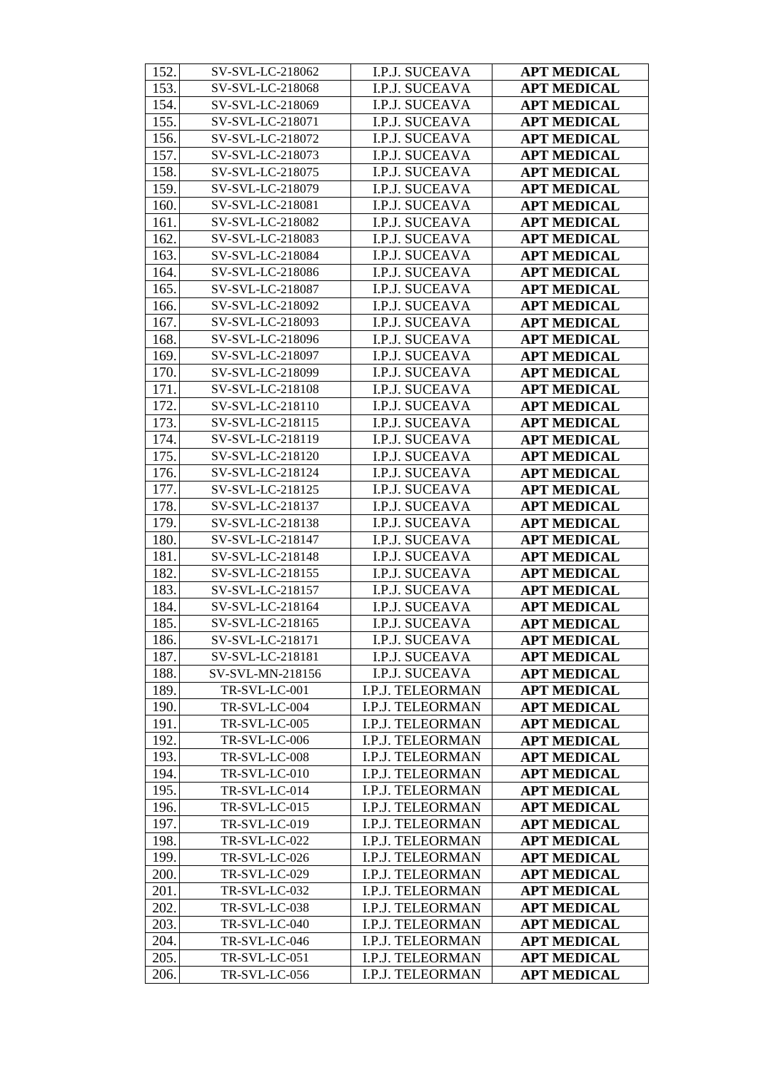| 152. | SV-SVL-LC-218062 | I.P.J. SUCEAVA        | <b>APT MEDICAL</b> |
|------|------------------|-----------------------|--------------------|
| 153. | SV-SVL-LC-218068 | I.P.J. SUCEAVA        | <b>APT MEDICAL</b> |
| 154. | SV-SVL-LC-218069 | I.P.J. SUCEAVA        | <b>APT MEDICAL</b> |
| 155. | SV-SVL-LC-218071 | I.P.J. SUCEAVA        | <b>APT MEDICAL</b> |
| 156. | SV-SVL-LC-218072 | I.P.J. SUCEAVA        | <b>APT MEDICAL</b> |
| 157. | SV-SVL-LC-218073 | I.P.J. SUCEAVA        | <b>APT MEDICAL</b> |
| 158. | SV-SVL-LC-218075 | I.P.J. SUCEAVA        | <b>APT MEDICAL</b> |
| 159. | SV-SVL-LC-218079 | I.P.J. SUCEAVA        | <b>APT MEDICAL</b> |
| 160. | SV-SVL-LC-218081 | I.P.J. SUCEAVA        | <b>APT MEDICAL</b> |
| 161. | SV-SVL-LC-218082 | I.P.J. SUCEAVA        | <b>APT MEDICAL</b> |
| 162. | SV-SVL-LC-218083 | I.P.J. SUCEAVA        | <b>APT MEDICAL</b> |
| 163. | SV-SVL-LC-218084 | I.P.J. SUCEAVA        | <b>APT MEDICAL</b> |
| 164. | SV-SVL-LC-218086 | I.P.J. SUCEAVA        | <b>APT MEDICAL</b> |
| 165. | SV-SVL-LC-218087 | I.P.J. SUCEAVA        | <b>APT MEDICAL</b> |
| 166. | SV-SVL-LC-218092 | I.P.J. SUCEAVA        | <b>APT MEDICAL</b> |
| 167. | SV-SVL-LC-218093 | I.P.J. SUCEAVA        | <b>APT MEDICAL</b> |
| 168. | SV-SVL-LC-218096 | I.P.J. SUCEAVA        | <b>APT MEDICAL</b> |
| 169. | SV-SVL-LC-218097 | I.P.J. SUCEAVA        | <b>APT MEDICAL</b> |
| 170. | SV-SVL-LC-218099 | I.P.J. SUCEAVA        | <b>APT MEDICAL</b> |
| 171. | SV-SVL-LC-218108 | I.P.J. SUCEAVA        | <b>APT MEDICAL</b> |
| 172. | SV-SVL-LC-218110 | I.P.J. SUCEAVA        | <b>APT MEDICAL</b> |
| 173. | SV-SVL-LC-218115 | I.P.J. SUCEAVA        | <b>APT MEDICAL</b> |
| 174. | SV-SVL-LC-218119 | I.P.J. SUCEAVA        | <b>APT MEDICAL</b> |
| 175. | SV-SVL-LC-218120 | I.P.J. SUCEAVA        | <b>APT MEDICAL</b> |
| 176. | SV-SVL-LC-218124 | I.P.J. SUCEAVA        | <b>APT MEDICAL</b> |
| 177. | SV-SVL-LC-218125 | I.P.J. SUCEAVA        | <b>APT MEDICAL</b> |
| 178. | SV-SVL-LC-218137 | I.P.J. SUCEAVA        | <b>APT MEDICAL</b> |
| 179. | SV-SVL-LC-218138 | I.P.J. SUCEAVA        | <b>APT MEDICAL</b> |
| 180. | SV-SVL-LC-218147 | I.P.J. SUCEAVA        | <b>APT MEDICAL</b> |
| 181. | SV-SVL-LC-218148 | I.P.J. SUCEAVA        | <b>APT MEDICAL</b> |
| 182. | SV-SVL-LC-218155 | I.P.J. SUCEAVA        | <b>APT MEDICAL</b> |
| 183. | SV-SVL-LC-218157 | I.P.J. SUCEAVA        | <b>APT MEDICAL</b> |
| 184. | SV-SVL-LC-218164 | I.P.J. SUCEAVA        | <b>APT MEDICAL</b> |
| 185. | SV-SVL-LC-218165 | I.P.J. SUCEAVA        | <b>APT MEDICAL</b> |
| 186. | SV-SVL-LC-218171 | I.P.J. SUCEAVA        | <b>APT MEDICAL</b> |
| 187. | SV-SVL-LC-218181 | I.P.J. SUCEAVA        | <b>APT MEDICAL</b> |
| 188. | SV-SVL-MN-218156 | <b>I.P.J. SUCEAVA</b> | <b>APT MEDICAL</b> |
| 189. | TR-SVL-LC-001    | I.P.J. TELEORMAN      | <b>APT MEDICAL</b> |
| 190. | TR-SVL-LC-004    | I.P.J. TELEORMAN      | <b>APT MEDICAL</b> |
| 191. | TR-SVL-LC-005    | I.P.J. TELEORMAN      | <b>APT MEDICAL</b> |
| 192. | TR-SVL-LC-006    | I.P.J. TELEORMAN      | <b>APT MEDICAL</b> |
| 193. | TR-SVL-LC-008    | I.P.J. TELEORMAN      | <b>APT MEDICAL</b> |
| 194. | TR-SVL-LC-010    | I.P.J. TELEORMAN      | <b>APT MEDICAL</b> |
| 195. | TR-SVL-LC-014    | I.P.J. TELEORMAN      | <b>APT MEDICAL</b> |
| 196. | TR-SVL-LC-015    | I.P.J. TELEORMAN      | <b>APT MEDICAL</b> |
| 197. | TR-SVL-LC-019    | I.P.J. TELEORMAN      | <b>APT MEDICAL</b> |
| 198. | TR-SVL-LC-022    | I.P.J. TELEORMAN      | <b>APT MEDICAL</b> |
| 199. | TR-SVL-LC-026    | I.P.J. TELEORMAN      | <b>APT MEDICAL</b> |
| 200. | TR-SVL-LC-029    | I.P.J. TELEORMAN      | <b>APT MEDICAL</b> |
| 201. | TR-SVL-LC-032    | I.P.J. TELEORMAN      | <b>APT MEDICAL</b> |
| 202. | TR-SVL-LC-038    | I.P.J. TELEORMAN      | <b>APT MEDICAL</b> |
| 203. | TR-SVL-LC-040    | I.P.J. TELEORMAN      | <b>APT MEDICAL</b> |
| 204. | TR-SVL-LC-046    | I.P.J. TELEORMAN      | <b>APT MEDICAL</b> |
| 205. | TR-SVL-LC-051    | I.P.J. TELEORMAN      | <b>APT MEDICAL</b> |
| 206. | TR-SVL-LC-056    | I.P.J. TELEORMAN      | <b>APT MEDICAL</b> |